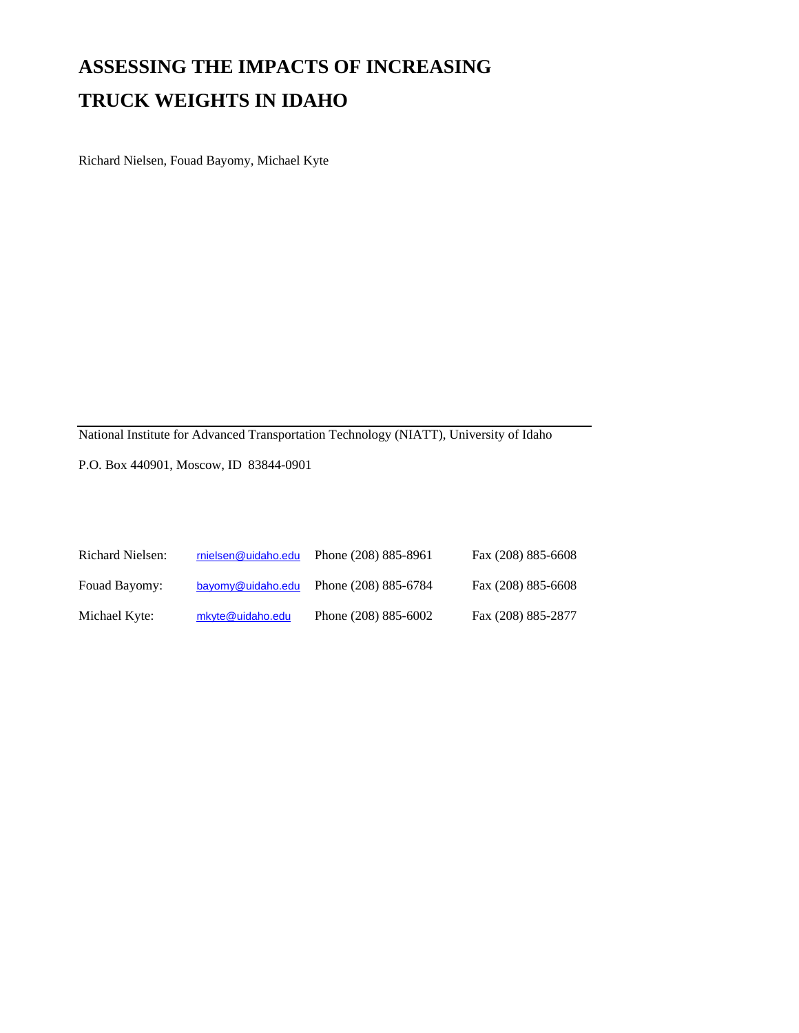## **ASSESSING THE IMPACTS OF INCREASING TRUCK WEIGHTS IN IDAHO**

Richard Nielsen, Fouad Bayomy, Michael Kyte

National Institute for Advanced Transportation Technology (NIATT), University of Idaho

P.O. Box 440901, Moscow, ID 83844-0901

| <b>Richard Nielsen:</b> | rnielsen@uidaho.edu | Phone (208) 885-8961     | Fax (208) 885-6608 |
|-------------------------|---------------------|--------------------------|--------------------|
| Fouad Bayomy:           | bayomy@uidaho.edu   | Phone (208) 885-6784     | Fax (208) 885-6608 |
| Michael Kyte:           | mkyte@uidaho.edu    | Phone $(208) 885 - 6002$ | Fax (208) 885-2877 |